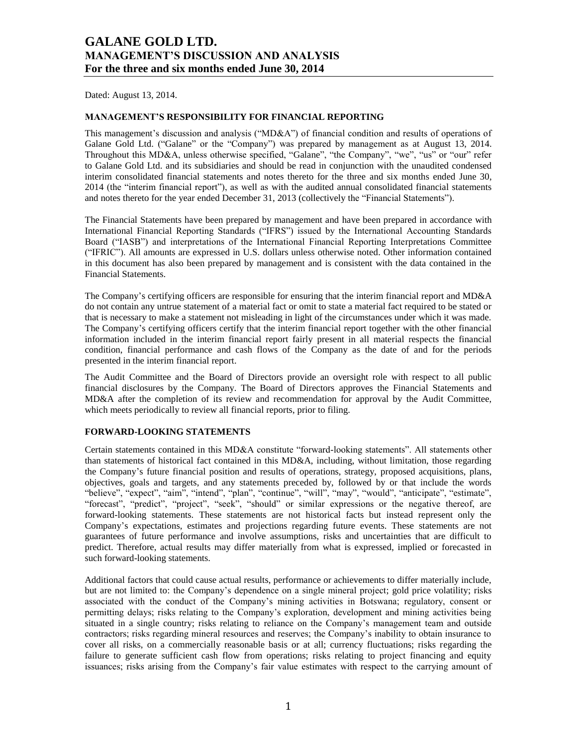Dated: August 13, 2014.

## **MANAGEMENT'S RESPONSIBILITY FOR FINANCIAL REPORTING**

This management's discussion and analysis ("MD&A") of financial condition and results of operations of Galane Gold Ltd. ("Galane" or the "Company") was prepared by management as at August 13, 2014. Throughout this MD&A, unless otherwise specified, "Galane", "the Company", "we", "us" or "our" refer to Galane Gold Ltd. and its subsidiaries and should be read in conjunction with the unaudited condensed interim consolidated financial statements and notes thereto for the three and six months ended June 30, 2014 (the "interim financial report"), as well as with the audited annual consolidated financial statements and notes thereto for the year ended December 31, 2013 (collectively the "Financial Statements").

The Financial Statements have been prepared by management and have been prepared in accordance with International Financial Reporting Standards ("IFRS") issued by the International Accounting Standards Board ("IASB") and interpretations of the International Financial Reporting Interpretations Committee ("IFRIC"). All amounts are expressed in U.S. dollars unless otherwise noted. Other information contained in this document has also been prepared by management and is consistent with the data contained in the Financial Statements.

The Company's certifying officers are responsible for ensuring that the interim financial report and MD&A do not contain any untrue statement of a material fact or omit to state a material fact required to be stated or that is necessary to make a statement not misleading in light of the circumstances under which it was made. The Company's certifying officers certify that the interim financial report together with the other financial information included in the interim financial report fairly present in all material respects the financial condition, financial performance and cash flows of the Company as the date of and for the periods presented in the interim financial report.

The Audit Committee and the Board of Directors provide an oversight role with respect to all public financial disclosures by the Company. The Board of Directors approves the Financial Statements and MD&A after the completion of its review and recommendation for approval by the Audit Committee, which meets periodically to review all financial reports, prior to filing.

# **FORWARD-LOOKING STATEMENTS**

Certain statements contained in this MD&A constitute "forward-looking statements". All statements other than statements of historical fact contained in this MD&A, including, without limitation, those regarding the Company's future financial position and results of operations, strategy, proposed acquisitions, plans, objectives, goals and targets, and any statements preceded by, followed by or that include the words "believe", "expect", "aim", "intend", "plan", "continue", "will", "may", "would", "anticipate", "estimate", "forecast", "predict", "project", "seek", "should" or similar expressions or the negative thereof, are forward-looking statements. These statements are not historical facts but instead represent only the Company's expectations, estimates and projections regarding future events. These statements are not guarantees of future performance and involve assumptions, risks and uncertainties that are difficult to predict. Therefore, actual results may differ materially from what is expressed, implied or forecasted in such forward-looking statements.

Additional factors that could cause actual results, performance or achievements to differ materially include, but are not limited to: the Company's dependence on a single mineral project; gold price volatility; risks associated with the conduct of the Company's mining activities in Botswana; regulatory, consent or permitting delays; risks relating to the Company's exploration, development and mining activities being situated in a single country; risks relating to reliance on the Company's management team and outside contractors; risks regarding mineral resources and reserves; the Company's inability to obtain insurance to cover all risks, on a commercially reasonable basis or at all; currency fluctuations; risks regarding the failure to generate sufficient cash flow from operations; risks relating to project financing and equity issuances; risks arising from the Company's fair value estimates with respect to the carrying amount of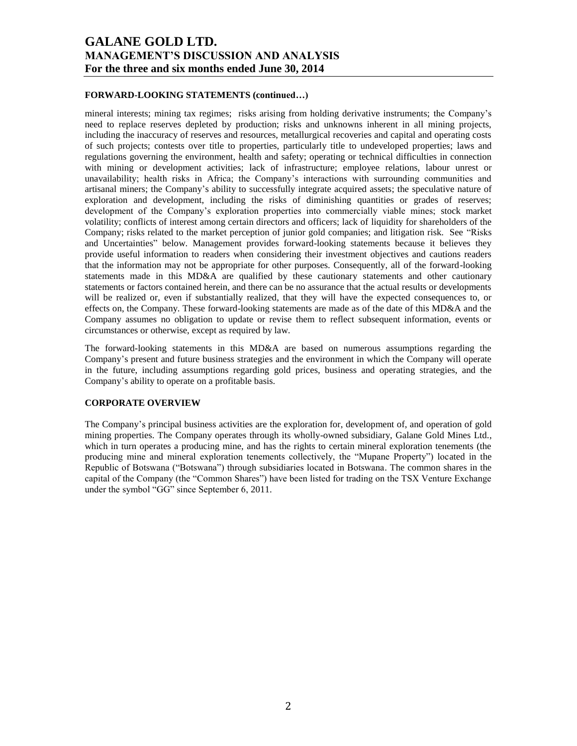## **FORWARD-LOOKING STATEMENTS (continued…)**

mineral interests; mining tax regimes; risks arising from holding derivative instruments; the Company's need to replace reserves depleted by production; risks and unknowns inherent in all mining projects, including the inaccuracy of reserves and resources, metallurgical recoveries and capital and operating costs of such projects; contests over title to properties, particularly title to undeveloped properties; laws and regulations governing the environment, health and safety; operating or technical difficulties in connection with mining or development activities; lack of infrastructure; employee relations, labour unrest or unavailability; health risks in Africa; the Company's interactions with surrounding communities and artisanal miners; the Company's ability to successfully integrate acquired assets; the speculative nature of exploration and development, including the risks of diminishing quantities or grades of reserves; development of the Company's exploration properties into commercially viable mines; stock market volatility; conflicts of interest among certain directors and officers; lack of liquidity for shareholders of the Company; risks related to the market perception of junior gold companies; and litigation risk. See "Risks and Uncertainties" below. Management provides forward-looking statements because it believes they provide useful information to readers when considering their investment objectives and cautions readers that the information may not be appropriate for other purposes. Consequently, all of the forward-looking statements made in this MD&A are qualified by these cautionary statements and other cautionary statements or factors contained herein, and there can be no assurance that the actual results or developments will be realized or, even if substantially realized, that they will have the expected consequences to, or effects on, the Company. These forward-looking statements are made as of the date of this MD&A and the Company assumes no obligation to update or revise them to reflect subsequent information, events or circumstances or otherwise, except as required by law.

The forward-looking statements in this MD&A are based on numerous assumptions regarding the Company's present and future business strategies and the environment in which the Company will operate in the future, including assumptions regarding gold prices, business and operating strategies, and the Company's ability to operate on a profitable basis.

### **CORPORATE OVERVIEW**

The Company's principal business activities are the exploration for, development of, and operation of gold mining properties. The Company operates through its wholly-owned subsidiary, Galane Gold Mines Ltd., which in turn operates a producing mine, and has the rights to certain mineral exploration tenements (the producing mine and mineral exploration tenements collectively, the "Mupane Property") located in the Republic of Botswana ("Botswana") through subsidiaries located in Botswana. The common shares in the capital of the Company (the "Common Shares") have been listed for trading on the TSX Venture Exchange under the symbol "GG" since September 6, 2011.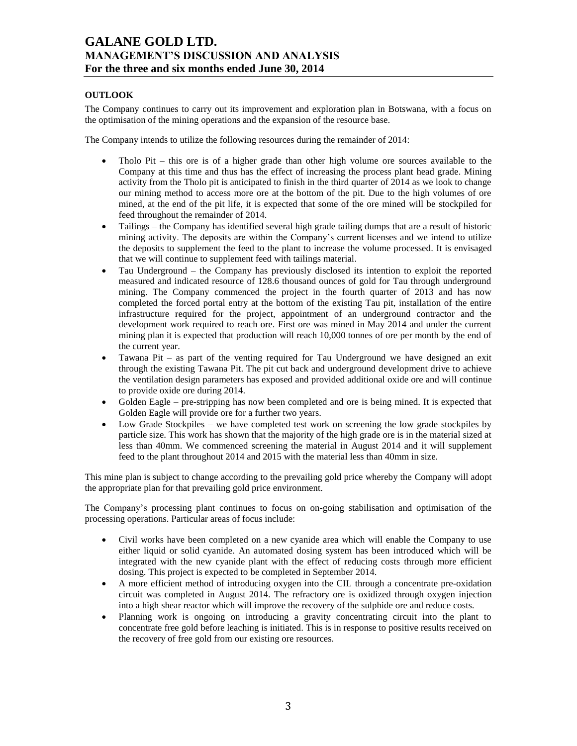# **OUTLOOK**

The Company continues to carry out its improvement and exploration plan in Botswana, with a focus on the optimisation of the mining operations and the expansion of the resource base.

The Company intends to utilize the following resources during the remainder of 2014:

- Tholo Pit this ore is of a higher grade than other high volume ore sources available to the Company at this time and thus has the effect of increasing the process plant head grade. Mining activity from the Tholo pit is anticipated to finish in the third quarter of 2014 as we look to change our mining method to access more ore at the bottom of the pit. Due to the high volumes of ore mined, at the end of the pit life, it is expected that some of the ore mined will be stockpiled for feed throughout the remainder of 2014.
- Tailings the Company has identified several high grade tailing dumps that are a result of historic mining activity. The deposits are within the Company's current licenses and we intend to utilize the deposits to supplement the feed to the plant to increase the volume processed. It is envisaged that we will continue to supplement feed with tailings material.
- Tau Underground the Company has previously disclosed its intention to exploit the reported measured and indicated resource of 128.6 thousand ounces of gold for Tau through underground mining. The Company commenced the project in the fourth quarter of 2013 and has now completed the forced portal entry at the bottom of the existing Tau pit, installation of the entire infrastructure required for the project, appointment of an underground contractor and the development work required to reach ore. First ore was mined in May 2014 and under the current mining plan it is expected that production will reach 10,000 tonnes of ore per month by the end of the current year.
- Tawana Pit as part of the venting required for Tau Underground we have designed an exit through the existing Tawana Pit. The pit cut back and underground development drive to achieve the ventilation design parameters has exposed and provided additional oxide ore and will continue to provide oxide ore during 2014.
- Golden Eagle pre-stripping has now been completed and ore is being mined. It is expected that Golden Eagle will provide ore for a further two years.
- Low Grade Stockpiles we have completed test work on screening the low grade stockpiles by particle size. This work has shown that the majority of the high grade ore is in the material sized at less than 40mm. We commenced screening the material in August 2014 and it will supplement feed to the plant throughout 2014 and 2015 with the material less than 40mm in size.

This mine plan is subject to change according to the prevailing gold price whereby the Company will adopt the appropriate plan for that prevailing gold price environment.

The Company's processing plant continues to focus on on-going stabilisation and optimisation of the processing operations. Particular areas of focus include:

- Civil works have been completed on a new cyanide area which will enable the Company to use either liquid or solid cyanide. An automated dosing system has been introduced which will be integrated with the new cyanide plant with the effect of reducing costs through more efficient dosing. This project is expected to be completed in September 2014.
- A more efficient method of introducing oxygen into the CIL through a concentrate pre-oxidation circuit was completed in August 2014. The refractory ore is oxidized through oxygen injection into a high shear reactor which will improve the recovery of the sulphide ore and reduce costs.
- Planning work is ongoing on introducing a gravity concentrating circuit into the plant to concentrate free gold before leaching is initiated. This is in response to positive results received on the recovery of free gold from our existing ore resources.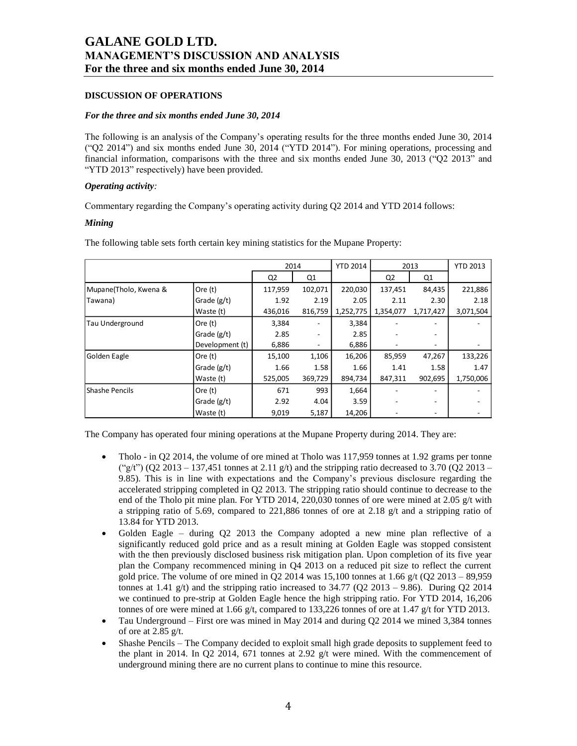## **DISCUSSION OF OPERATIONS**

### *For the three and six months ended June 30, 2014*

The following is an analysis of the Company's operating results for the three months ended June 30, 2014 ("Q2 2014") and six months ended June 30, 2014 ("YTD 2014"). For mining operations, processing and financial information, comparisons with the three and six months ended June 30, 2013 ("Q2 2013" and "YTD 2013" respectively) have been provided.

## *Operating activity:*

Commentary regarding the Company's operating activity during Q2 2014 and YTD 2014 follows:

## *Mining*

The following table sets forth certain key mining statistics for the Mupane Property:

|                       |                 | 2014    |                | <b>YTD 2014</b> |           | 2013      | <b>YTD 2013</b> |
|-----------------------|-----------------|---------|----------------|-----------------|-----------|-----------|-----------------|
|                       |                 | Q2      | Q <sub>1</sub> |                 | Q2        | Q1        |                 |
| Mupane(Tholo, Kwena & | Ore (t)         | 117,959 | 102,071        | 220,030         | 137,451   | 84,435    | 221,886         |
| Tawana)               | Grade (g/t)     | 1.92    | 2.19           | 2.05            | 2.11      | 2.30      | 2.18            |
|                       | Waste (t)       | 436,016 | 816,759        | 1,252,775       | 1,354,077 | 1,717,427 | 3,071,504       |
| Tau Underground       | Ore (t)         | 3,384   |                | 3,384           |           | ۰         |                 |
|                       | Grade $(g/t)$   | 2.85    |                | 2.85            |           |           |                 |
|                       | Development (t) | 6,886   |                | 6,886           |           | -         |                 |
| Golden Eagle          | Ore (t)         | 15,100  | 1,106          | 16,206          | 85,959    | 47,267    | 133,226         |
|                       | Grade (g/t)     | 1.66    | 1.58           | 1.66            | 1.41      | 1.58      | 1.47            |
|                       | Waste (t)       | 525,005 | 369,729        | 894,734         | 847,311   | 902,695   | 1,750,006       |
| Shashe Pencils        | Ore (t)         | 671     | 993            | 1,664           |           |           |                 |
|                       | Grade $(g/t)$   | 2.92    | 4.04           | 3.59            |           |           |                 |
|                       | Waste (t)       | 9,019   | 5,187          | 14,206          |           |           |                 |

The Company has operated four mining operations at the Mupane Property during 2014. They are:

- Tholo in Q2 2014, the volume of ore mined at Tholo was 117,959 tonnes at 1.92 grams per tonne ("g/t") (O2 2013 – 137,451 tonnes at 2.11 g/t) and the stripping ratio decreased to 3.70 (O2 2013 – 9.85). This is in line with expectations and the Company's previous disclosure regarding the accelerated stripping completed in Q2 2013. The stripping ratio should continue to decrease to the end of the Tholo pit mine plan. For YTD 2014, 220,030 tonnes of ore were mined at 2.05 g/t with a stripping ratio of 5.69, compared to 221,886 tonnes of ore at 2.18 g/t and a stripping ratio of 13.84 for YTD 2013.
- Golden Eagle during Q2 2013 the Company adopted a new mine plan reflective of a significantly reduced gold price and as a result mining at Golden Eagle was stopped consistent with the then previously disclosed business risk mitigation plan. Upon completion of its five year plan the Company recommenced mining in Q4 2013 on a reduced pit size to reflect the current gold price. The volume of ore mined in O2 2014 was 15,100 tonnes at 1.66  $g/t$  (O2 2013 – 89,959 tonnes at 1.41 g/t) and the stripping ratio increased to  $34.77$  (Q2 2013 – 9.86). During Q2 2014 we continued to pre-strip at Golden Eagle hence the high stripping ratio. For YTD 2014, 16,206 tonnes of ore were mined at 1.66 g/t, compared to 133,226 tonnes of ore at 1.47 g/t for YTD 2013.
- Tau Underground First ore was mined in May 2014 and during  $Q2$  2014 we mined 3,384 tonnes of ore at 2.85 g/t.
- Shashe Pencils The Company decided to exploit small high grade deposits to supplement feed to the plant in 2014. In Q2 2014, 671 tonnes at 2.92  $g/t$  were mined. With the commencement of underground mining there are no current plans to continue to mine this resource.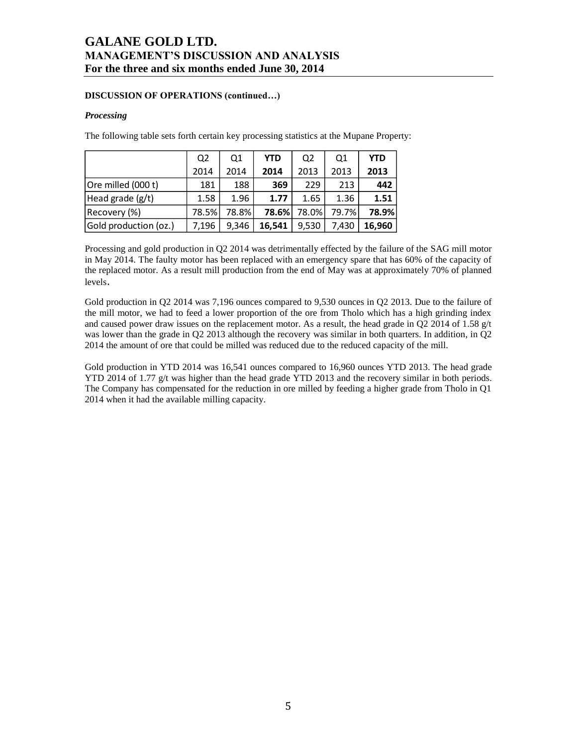## **DISCUSSION OF OPERATIONS (continued…)**

### *Processing*

The following table sets forth certain key processing statistics at the Mupane Property:

|                       | Q <sub>2</sub> | Q1    | <b>YTD</b> | Q <sub>2</sub> | Q1    | <b>YTD</b> |
|-----------------------|----------------|-------|------------|----------------|-------|------------|
|                       | 2014           | 2014  | 2014       | 2013           | 2013  | 2013       |
| Ore milled (000 t)    | 181            | 188   | 369        | 229            | 213   | 442        |
| Head grade (g/t)      | 1.58           | 1.96  | 1.77       | 1.65           | 1.36  | 1.51       |
| Recovery (%)          | 78.5%          | 78.8% | 78.6%      | 78.0%          | 79.7% | 78.9%      |
| Gold production (oz.) | 7,196          | 9.346 | 16,541     | 9,530          | 7.430 | 16.960     |

Processing and gold production in Q2 2014 was detrimentally effected by the failure of the SAG mill motor in May 2014. The faulty motor has been replaced with an emergency spare that has 60% of the capacity of the replaced motor. As a result mill production from the end of May was at approximately 70% of planned levels.

Gold production in Q2 2014 was 7,196 ounces compared to 9,530 ounces in Q2 2013. Due to the failure of the mill motor, we had to feed a lower proportion of the ore from Tholo which has a high grinding index and caused power draw issues on the replacement motor. As a result, the head grade in Q2 2014 of 1.58 g/t was lower than the grade in Q2 2013 although the recovery was similar in both quarters. In addition, in Q2 2014 the amount of ore that could be milled was reduced due to the reduced capacity of the mill.

Gold production in YTD 2014 was 16,541 ounces compared to 16,960 ounces YTD 2013. The head grade YTD 2014 of 1.77 g/t was higher than the head grade YTD 2013 and the recovery similar in both periods. The Company has compensated for the reduction in ore milled by feeding a higher grade from Tholo in Q1 2014 when it had the available milling capacity.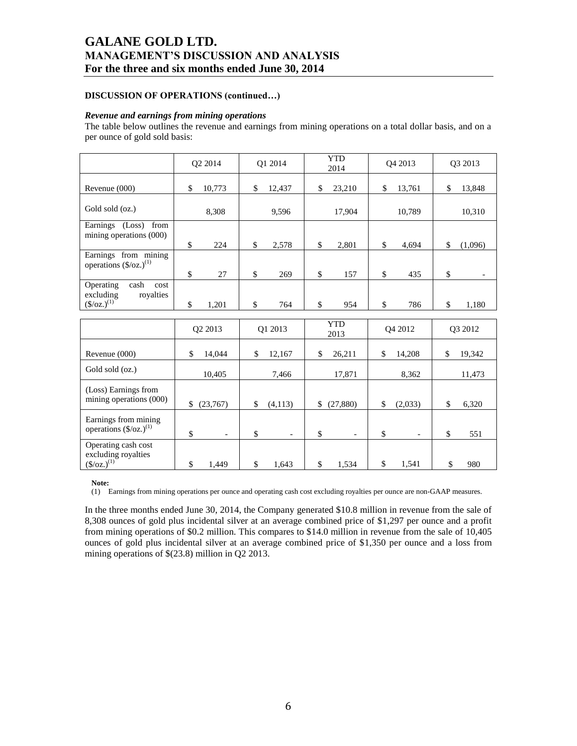# **DISCUSSION OF OPERATIONS (continued…)**

#### *Revenue and earnings from mining operations*

The table below outlines the revenue and earnings from mining operations on a total dollar basis, and on a per ounce of gold sold basis:

|                                                                                             | Q2 2014        |                                | Q1 2014                  | <b>YTD</b><br>2014 |                          |    | Q4 2013                  |    | Q3 2013 |
|---------------------------------------------------------------------------------------------|----------------|--------------------------------|--------------------------|--------------------|--------------------------|----|--------------------------|----|---------|
| Revenue (000)                                                                               | 10,773<br>\$   | \$                             | 12,437                   | \$                 | 23,210                   | \$ | 13,761                   | \$ | 13,848  |
| Gold sold (oz.)                                                                             | 8,308          |                                | 9,596                    |                    | 17,904                   |    | 10,789                   |    | 10,310  |
| Earnings (Loss)<br>from<br>mining operations (000)                                          | \$             | \$<br>224                      | 2,578                    | \$                 | 2,801                    | \$ | 4,694                    | \$ | (1,096) |
| Earnings from mining<br>operations $(\frac{6}{\alpha}z)^{(1)}$                              | \$             | \$<br>27                       | 269                      | \$                 | 157                      | \$ | 435                      | \$ |         |
| Operating<br>cash<br>cost<br>royalties<br>excluding<br>$(\frac{\csc(1)}{2})$ <sup>(1)</sup> | \$<br>1,201    | \$                             | 764                      | \$                 | 954                      | \$ | 786                      | \$ | 1,180   |
|                                                                                             | Q2 2013        |                                | Q1 2013                  |                    | <b>YTD</b><br>2013       |    | Q4 2012                  |    | Q3 2012 |
| Revenue (000)                                                                               | 14,044<br>\$   | \$                             | 12,167                   | \$                 | 26,211                   | \$ | 14,208                   | \$ | 19,342  |
| Gold sold (oz.)                                                                             | 10,405         |                                | 7,466                    |                    | 17,871                   |    | 8,362                    |    | 11,473  |
| (Loss) Earnings from<br>mining operations (000)                                             | \$<br>(23,767) | \$                             | (4, 113)                 | \$                 | (27, 880)                | \$ | (2,033)                  | \$ | 6,320   |
| Earnings from mining<br>operations $(\frac{5}{oz})^{(1)}$                                   | \$             | \$<br>$\overline{\phantom{a}}$ | $\overline{\phantom{a}}$ | \$                 | $\overline{\phantom{a}}$ | \$ | $\overline{\phantom{a}}$ | \$ | 551     |
| Operating cash cost<br>excluding royalties<br>$(\frac{\csc(1)}{2})^{(1)}$                   | \$<br>1,449    | \$                             | 1,643                    | \$                 | 1,534                    | \$ | 1,541                    | \$ | 980     |

**Note:**

(1) Earnings from mining operations per ounce and operating cash cost excluding royalties per ounce are non-GAAP measures.

In the three months ended June 30, 2014, the Company generated \$10.8 million in revenue from the sale of 8,308 ounces of gold plus incidental silver at an average combined price of \$1,297 per ounce and a profit from mining operations of \$0.2 million. This compares to \$14.0 million in revenue from the sale of 10,405 ounces of gold plus incidental silver at an average combined price of \$1,350 per ounce and a loss from mining operations of \$(23.8) million in Q2 2013.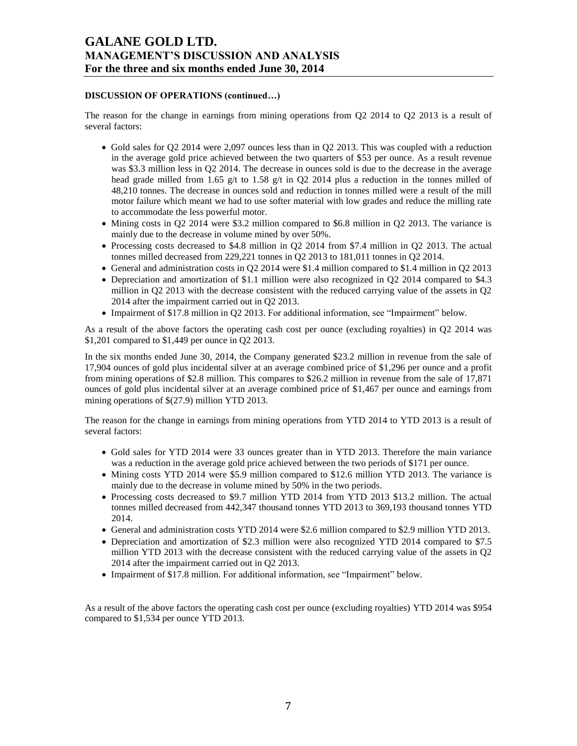# **DISCUSSION OF OPERATIONS (continued…)**

The reason for the change in earnings from mining operations from Q2 2014 to Q2 2013 is a result of several factors:

- Gold sales for Q2 2014 were 2,097 ounces less than in Q2 2013. This was coupled with a reduction in the average gold price achieved between the two quarters of \$53 per ounce. As a result revenue was \$3.3 million less in Q2 2014. The decrease in ounces sold is due to the decrease in the average head grade milled from 1.65 g/t to 1.58 g/t in Q2 2014 plus a reduction in the tonnes milled of 48,210 tonnes. The decrease in ounces sold and reduction in tonnes milled were a result of the mill motor failure which meant we had to use softer material with low grades and reduce the milling rate to accommodate the less powerful motor.
- $\bullet$  Mining costs in Q2 2014 were \$3.2 million compared to \$6.8 million in Q2 2013. The variance is mainly due to the decrease in volume mined by over 50%.
- Processing costs decreased to \$4.8 million in Q2 2014 from \$7.4 million in Q2 2013. The actual tonnes milled decreased from 229,221 tonnes in Q2 2013 to 181,011 tonnes in Q2 2014.
- General and administration costs in Q2 2014 were \$1.4 million compared to \$1.4 million in Q2 2013
- Depreciation and amortization of \$1.1 million were also recognized in Q2 2014 compared to \$4.3 million in Q2 2013 with the decrease consistent with the reduced carrying value of the assets in Q2 2014 after the impairment carried out in Q2 2013.
- Impairment of \$17.8 million in Q2 2013. For additional information, see "Impairment" below.

As a result of the above factors the operating cash cost per ounce (excluding royalties) in Q2 2014 was \$1,201 compared to \$1,449 per ounce in Q2 2013.

In the six months ended June 30, 2014, the Company generated \$23.2 million in revenue from the sale of 17,904 ounces of gold plus incidental silver at an average combined price of \$1,296 per ounce and a profit from mining operations of \$2.8 million. This compares to \$26.2 million in revenue from the sale of 17,871 ounces of gold plus incidental silver at an average combined price of \$1,467 per ounce and earnings from mining operations of \$(27.9) million YTD 2013.

The reason for the change in earnings from mining operations from YTD 2014 to YTD 2013 is a result of several factors:

- Gold sales for YTD 2014 were 33 ounces greater than in YTD 2013. Therefore the main variance was a reduction in the average gold price achieved between the two periods of \$171 per ounce.
- Mining costs YTD 2014 were \$5.9 million compared to \$12.6 million YTD 2013. The variance is mainly due to the decrease in volume mined by 50% in the two periods.
- Processing costs decreased to \$9.7 million YTD 2014 from YTD 2013 \$13.2 million. The actual tonnes milled decreased from 442,347 thousand tonnes YTD 2013 to 369,193 thousand tonnes YTD 2014.
- General and administration costs YTD 2014 were \$2.6 million compared to \$2.9 million YTD 2013.
- Depreciation and amortization of \$2.3 million were also recognized YTD 2014 compared to \$7.5 million YTD 2013 with the decrease consistent with the reduced carrying value of the assets in Q2 2014 after the impairment carried out in Q2 2013.
- Impairment of \$17.8 million. For additional information, see "Impairment" below.

As a result of the above factors the operating cash cost per ounce (excluding royalties) YTD 2014 was \$954 compared to \$1,534 per ounce YTD 2013.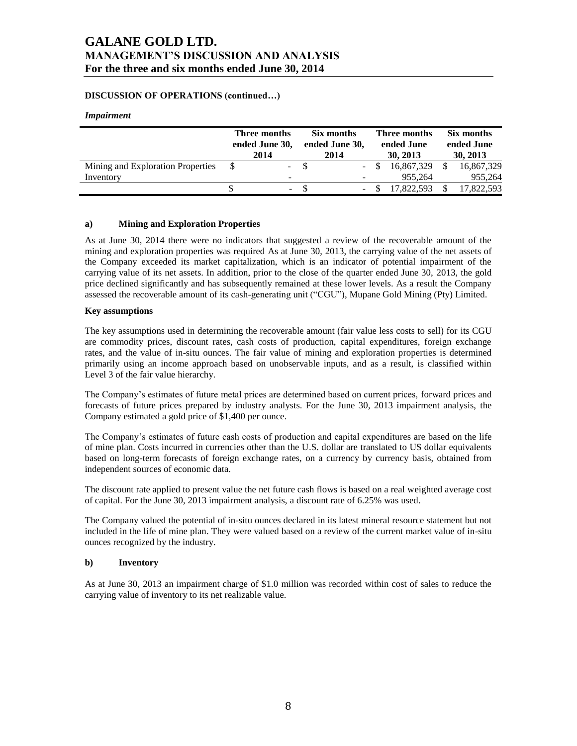# **DISCUSSION OF OPERATIONS (continued…)**

#### *Impairment*

|                                   | Three months<br>ended June 30,<br>2014 |       |  | Six months<br>ended June 30,<br>2014 | Three months<br>ended June<br>30, 2013 | Six months<br>ended June<br>30, 2013 |            |  |
|-----------------------------------|----------------------------------------|-------|--|--------------------------------------|----------------------------------------|--------------------------------------|------------|--|
| Mining and Exploration Properties |                                        | $- S$ |  |                                      | 16,867,329                             |                                      | 16,867,329 |  |
| Inventory                         |                                        | -     |  | ۰                                    | 955.264                                |                                      | 955,264    |  |
|                                   |                                        | ۰.    |  |                                      | 17.822.593                             |                                      | 17.822.593 |  |

### **a) Mining and Exploration Properties**

As at June 30, 2014 there were no indicators that suggested a review of the recoverable amount of the mining and exploration properties was required As at June 30, 2013, the carrying value of the net assets of the Company exceeded its market capitalization, which is an indicator of potential impairment of the carrying value of its net assets. In addition, prior to the close of the quarter ended June 30, 2013, the gold price declined significantly and has subsequently remained at these lower levels. As a result the Company assessed the recoverable amount of its cash-generating unit ("CGU"), Mupane Gold Mining (Pty) Limited.

## **Key assumptions**

The key assumptions used in determining the recoverable amount (fair value less costs to sell) for its CGU are commodity prices, discount rates, cash costs of production, capital expenditures, foreign exchange rates, and the value of in-situ ounces. The fair value of mining and exploration properties is determined primarily using an income approach based on unobservable inputs, and as a result, is classified within Level 3 of the fair value hierarchy.

The Company's estimates of future metal prices are determined based on current prices, forward prices and forecasts of future prices prepared by industry analysts. For the June 30, 2013 impairment analysis, the Company estimated a gold price of \$1,400 per ounce.

The Company's estimates of future cash costs of production and capital expenditures are based on the life of mine plan. Costs incurred in currencies other than the U.S. dollar are translated to US dollar equivalents based on long-term forecasts of foreign exchange rates, on a currency by currency basis, obtained from independent sources of economic data.

The discount rate applied to present value the net future cash flows is based on a real weighted average cost of capital. For the June 30, 2013 impairment analysis, a discount rate of 6.25% was used.

The Company valued the potential of in-situ ounces declared in its latest mineral resource statement but not included in the life of mine plan. They were valued based on a review of the current market value of in-situ ounces recognized by the industry.

### **b) Inventory**

As at June 30, 2013 an impairment charge of \$1.0 million was recorded within cost of sales to reduce the carrying value of inventory to its net realizable value.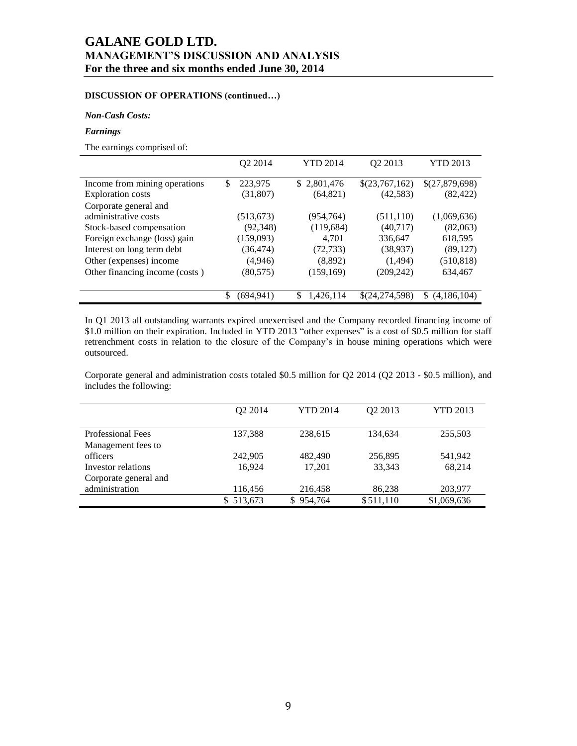# **DISCUSSION OF OPERATIONS (continued…)**

### *Non-Cash Costs:*

## *Earnings*

The earnings comprised of:

|                                | O <sub>2</sub> 2014 |   | <b>YTD 2014</b> | O <sub>2</sub> 2013 | <b>YTD 2013</b>    |
|--------------------------------|---------------------|---|-----------------|---------------------|--------------------|
| Income from mining operations  | \$<br>223,975       |   | \$2,801,476     | \$(23,767,162)      | \$(27,879,698)     |
| <b>Exploration costs</b>       | (31,807)            |   | (64, 821)       | (42, 583)           | (82, 422)          |
| Corporate general and          |                     |   |                 |                     |                    |
| administrative costs           | (513, 673)          |   | (954, 764)      | (511, 110)          | (1,069,636)        |
| Stock-based compensation       | (92, 348)           |   | (119, 684)      | (40,717)            | (82,063)           |
| Foreign exchange (loss) gain   | (159,093)           |   | 4.701           | 336,647             | 618,595            |
| Interest on long term debt     | (36, 474)           |   | (72, 733)       | (38, 937)           | (89, 127)          |
| Other (expenses) income        | (4,946)             |   | (8,892)         | (1,494)             | (510, 818)         |
| Other financing income (costs) | (80, 575)           |   | (159, 169)      | (209, 242)          | 634,467            |
|                                |                     |   |                 |                     |                    |
|                                | \$<br>(694.941)     | S | 1,426,114       | \$(24,274,598)      | (4,186,104)<br>\$. |

In Q1 2013 all outstanding warrants expired unexercised and the Company recorded financing income of \$1.0 million on their expiration. Included in YTD 2013 "other expenses" is a cost of \$0.5 million for staff retrenchment costs in relation to the closure of the Company's in house mining operations which were outsourced.

Corporate general and administration costs totaled \$0.5 million for Q2 2014 (Q2 2013 - \$0.5 million), and includes the following:

|                       | O <sub>2</sub> 2014 | <b>YTD 2014</b> | Q2 2013   | <b>YTD 2013</b> |
|-----------------------|---------------------|-----------------|-----------|-----------------|
| Professional Fees     |                     |                 |           |                 |
|                       | 137,388             | 238,615         | 134,634   | 255,503         |
| Management fees to    |                     |                 |           |                 |
| officers              | 242,905             | 482,490         | 256,895   | 541.942         |
| Investor relations    | 16.924              | 17.201          | 33,343    | 68,214          |
| Corporate general and |                     |                 |           |                 |
| administration        | 116,456             | 216,458         | 86,238    | 203,977         |
|                       | 513,673<br>S.       | 954,764<br>S.   | \$511,110 | \$1,069,636     |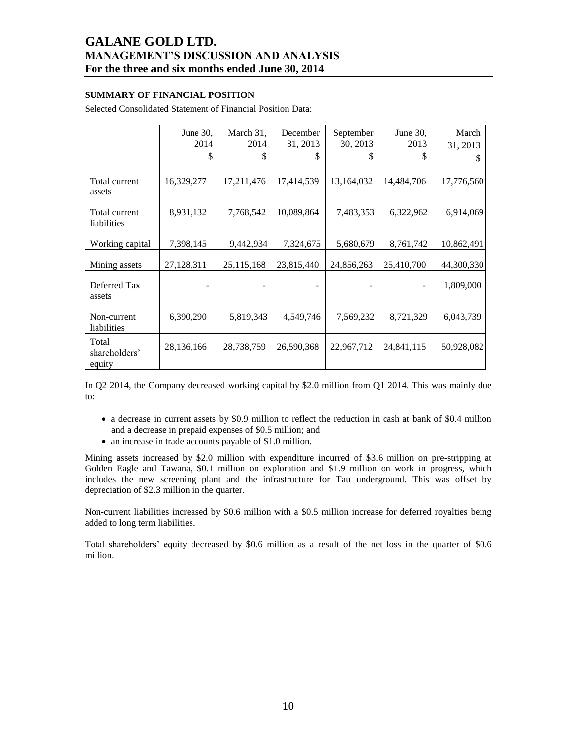# **SUMMARY OF FINANCIAL POSITION**

Selected Consolidated Statement of Financial Position Data:

|                                  | June 30,<br>2014<br>\$ | March 31,<br>2014<br>\$ | December<br>31, 2013<br>\$ | September<br>30, 2013<br>S | June 30,<br>2013<br>\$ | March<br>31, 2013 |
|----------------------------------|------------------------|-------------------------|----------------------------|----------------------------|------------------------|-------------------|
| Total current<br>assets          | 16,329,277             | 17,211,476              | 17,414,539                 | 13,164,032                 | 14,484,706             | 17,776,560        |
| Total current<br>liabilities     | 8,931,132              | 7,768,542               | 10,089,864                 | 7,483,353                  | 6,322,962              | 6,914,069         |
| Working capital                  | 7,398,145              | 9,442,934               | 7,324,675                  | 5,680,679                  | 8,761,742              | 10,862,491        |
| Mining assets                    | 27,128,311             | 25,115,168              | 23,815,440                 | 24,856,263                 | 25,410,700             | 44,300,330        |
| Deferred Tax<br>assets           |                        |                         |                            |                            |                        | 1,809,000         |
| Non-current<br>liabilities       | 6,390,290              | 5,819,343               | 4,549,746                  | 7,569,232                  | 8,721,329              | 6,043,739         |
| Total<br>shareholders'<br>equity | 28,136,166             | 28,738,759              | 26,590,368                 | 22,967,712                 | 24,841,115             | 50,928,082        |

In Q2 2014, the Company decreased working capital by \$2.0 million from Q1 2014. This was mainly due to:

- a decrease in current assets by \$0.9 million to reflect the reduction in cash at bank of \$0.4 million and a decrease in prepaid expenses of \$0.5 million; and
- an increase in trade accounts payable of \$1.0 million.

Mining assets increased by \$2.0 million with expenditure incurred of \$3.6 million on pre-stripping at Golden Eagle and Tawana, \$0.1 million on exploration and \$1.9 million on work in progress, which includes the new screening plant and the infrastructure for Tau underground. This was offset by depreciation of \$2.3 million in the quarter.

Non-current liabilities increased by \$0.6 million with a \$0.5 million increase for deferred royalties being added to long term liabilities.

Total shareholders' equity decreased by \$0.6 million as a result of the net loss in the quarter of \$0.6 million.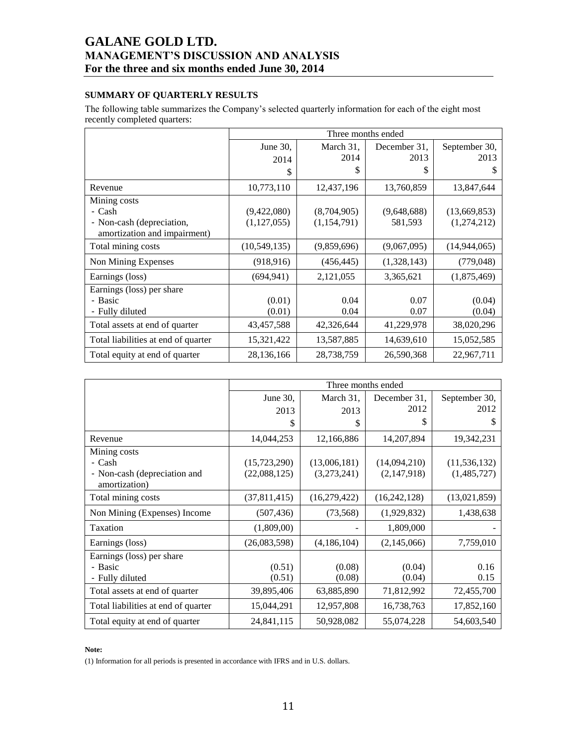# **SUMMARY OF QUARTERLY RESULTS**

The following table summarizes the Company's selected quarterly information for each of the eight most recently completed quarters:

|                                     | Three months ended |             |              |                |  |  |  |  |  |  |
|-------------------------------------|--------------------|-------------|--------------|----------------|--|--|--|--|--|--|
|                                     | June 30,           | March 31,   | December 31. | September 30,  |  |  |  |  |  |  |
|                                     | 2014               | 2014        | 2013         | 2013           |  |  |  |  |  |  |
|                                     | \$                 | S           | \$           | \$.            |  |  |  |  |  |  |
| Revenue                             | 10,773,110         | 12,437,196  | 13,760,859   | 13,847,644     |  |  |  |  |  |  |
| Mining costs                        |                    |             |              |                |  |  |  |  |  |  |
| - Cash                              | (9,422,080)        | (8,704,905) | (9,648,688)  | (13,669,853)   |  |  |  |  |  |  |
| - Non-cash (depreciation,           | (1, 127, 055)      | (1,154,791) | 581,593      | (1,274,212)    |  |  |  |  |  |  |
| amortization and impairment)        |                    |             |              |                |  |  |  |  |  |  |
| Total mining costs                  | (10,549,135)       | (9,859,696) | (9,067,095)  | (14, 944, 065) |  |  |  |  |  |  |
| Non Mining Expenses                 | (918, 916)         | (456, 445)  | (1,328,143)  | (779, 048)     |  |  |  |  |  |  |
| Earnings (loss)                     | (694, 941)         | 2,121,055   | 3,365,621    | (1,875,469)    |  |  |  |  |  |  |
| Earnings (loss) per share           |                    |             |              |                |  |  |  |  |  |  |
| - Basic                             | (0.01)             | 0.04        | 0.07         | (0.04)         |  |  |  |  |  |  |
| - Fully diluted                     | (0.01)             | 0.04        | 0.07         | (0.04)         |  |  |  |  |  |  |
| Total assets at end of quarter      | 43,457,588         | 42,326,644  | 41,229,978   | 38,020,296     |  |  |  |  |  |  |
| Total liabilities at end of quarter | 15,321,422         | 13,587,885  | 14,639,610   | 15,052,585     |  |  |  |  |  |  |
| Total equity at end of quarter      | 28,136,166         | 28,738,759  | 26,590,368   | 22,967,711     |  |  |  |  |  |  |

|                                               |              | Three months ended |                |                |
|-----------------------------------------------|--------------|--------------------|----------------|----------------|
|                                               | June $30$ ,  | March 31,          | December 31.   | September 30,  |
|                                               | 2013         | 2013               | 2012           | 2012           |
|                                               | \$           | \$                 | S              | \$             |
| Revenue                                       | 14,044,253   | 12,166,886         | 14,207,894     | 19,342,231     |
| Mining costs                                  |              |                    |                |                |
| - Cash                                        | (15,723,290) | (13,006,181)       | (14,094,210)   | (11, 536, 132) |
| - Non-cash (depreciation and<br>amortization) | (22,088,125) | (3,273,241)        | (2,147,918)    | (1,485,727)    |
| Total mining costs                            | (37,811,415) | (16,279,422)       | (16, 242, 128) | (13,021,859)   |
| Non Mining (Expenses) Income                  | (507, 436)   | (73, 568)          | (1,929,832)    | 1,438,638      |
| Taxation                                      | (1,809,00)   |                    | 1,809,000      |                |
| Earnings (loss)                               | (26,083,598) | (4,186,104)        | (2,145,066)    | 7,759,010      |
| Earnings (loss) per share                     |              |                    |                |                |
| - Basic                                       | (0.51)       | (0.08)             | (0.04)         | 0.16           |
| - Fully diluted                               | (0.51)       | (0.08)             | (0.04)         | 0.15           |
| Total assets at end of quarter                | 39,895,406   | 63,885,890         | 71,812,992     | 72,455,700     |
| Total liabilities at end of quarter           | 15,044,291   | 12,957,808         | 16,738,763     | 17,852,160     |
| Total equity at end of quarter                | 24,841,115   | 50,928,082         | 55,074,228     | 54,603,540     |

#### **Note:**

(1) Information for all periods is presented in accordance with IFRS and in U.S. dollars.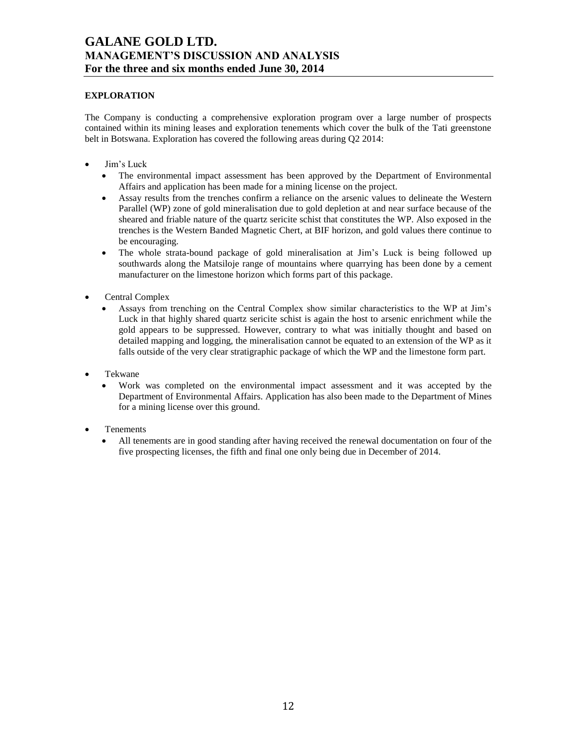# **EXPLORATION**

The Company is conducting a comprehensive exploration program over a large number of prospects contained within its mining leases and exploration tenements which cover the bulk of the Tati greenstone belt in Botswana. Exploration has covered the following areas during Q2 2014:

- Jim's Luck
	- The environmental impact assessment has been approved by the Department of Environmental Affairs and application has been made for a mining license on the project.
	- Assay results from the trenches confirm a reliance on the arsenic values to delineate the Western Parallel (WP) zone of gold mineralisation due to gold depletion at and near surface because of the sheared and friable nature of the quartz sericite schist that constitutes the WP. Also exposed in the trenches is the Western Banded Magnetic Chert, at BIF horizon, and gold values there continue to be encouraging.
	- The whole strata-bound package of gold mineralisation at Jim's Luck is being followed up southwards along the Matsiloje range of mountains where quarrying has been done by a cement manufacturer on the limestone horizon which forms part of this package.
- Central Complex
	- Assays from trenching on the Central Complex show similar characteristics to the WP at Jim's Luck in that highly shared quartz sericite schist is again the host to arsenic enrichment while the gold appears to be suppressed. However, contrary to what was initially thought and based on detailed mapping and logging, the mineralisation cannot be equated to an extension of the WP as it falls outside of the very clear stratigraphic package of which the WP and the limestone form part.
- Tekwane
	- Work was completed on the environmental impact assessment and it was accepted by the Department of Environmental Affairs. Application has also been made to the Department of Mines for a mining license over this ground.
- Tenements
	- All tenements are in good standing after having received the renewal documentation on four of the five prospecting licenses, the fifth and final one only being due in December of 2014.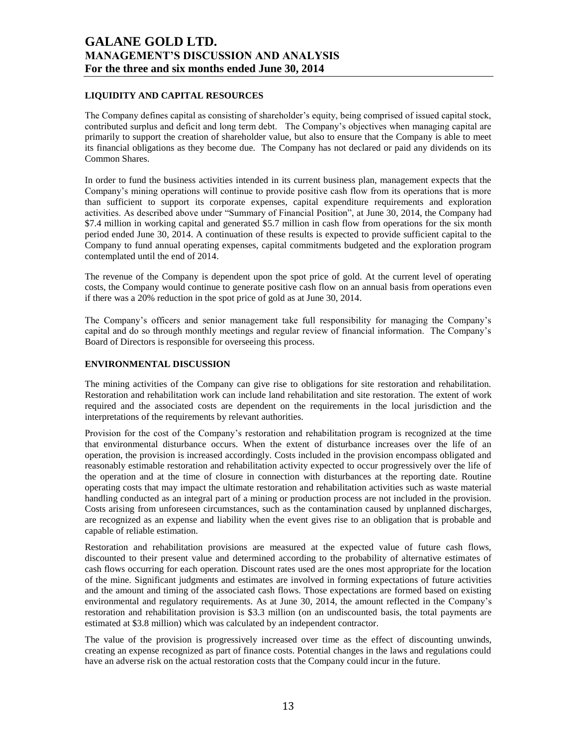# **LIQUIDITY AND CAPITAL RESOURCES**

The Company defines capital as consisting of shareholder's equity, being comprised of issued capital stock, contributed surplus and deficit and long term debt. The Company's objectives when managing capital are primarily to support the creation of shareholder value, but also to ensure that the Company is able to meet its financial obligations as they become due. The Company has not declared or paid any dividends on its Common Shares.

In order to fund the business activities intended in its current business plan, management expects that the Company's mining operations will continue to provide positive cash flow from its operations that is more than sufficient to support its corporate expenses, capital expenditure requirements and exploration activities. As described above under "Summary of Financial Position", at June 30, 2014, the Company had \$7.4 million in working capital and generated \$5.7 million in cash flow from operations for the six month period ended June 30, 2014. A continuation of these results is expected to provide sufficient capital to the Company to fund annual operating expenses, capital commitments budgeted and the exploration program contemplated until the end of 2014.

The revenue of the Company is dependent upon the spot price of gold. At the current level of operating costs, the Company would continue to generate positive cash flow on an annual basis from operations even if there was a 20% reduction in the spot price of gold as at June 30, 2014.

The Company's officers and senior management take full responsibility for managing the Company's capital and do so through monthly meetings and regular review of financial information. The Company's Board of Directors is responsible for overseeing this process.

# **ENVIRONMENTAL DISCUSSION**

The mining activities of the Company can give rise to obligations for site restoration and rehabilitation. Restoration and rehabilitation work can include land rehabilitation and site restoration. The extent of work required and the associated costs are dependent on the requirements in the local jurisdiction and the interpretations of the requirements by relevant authorities.

Provision for the cost of the Company's restoration and rehabilitation program is recognized at the time that environmental disturbance occurs. When the extent of disturbance increases over the life of an operation, the provision is increased accordingly. Costs included in the provision encompass obligated and reasonably estimable restoration and rehabilitation activity expected to occur progressively over the life of the operation and at the time of closure in connection with disturbances at the reporting date. Routine operating costs that may impact the ultimate restoration and rehabilitation activities such as waste material handling conducted as an integral part of a mining or production process are not included in the provision. Costs arising from unforeseen circumstances, such as the contamination caused by unplanned discharges, are recognized as an expense and liability when the event gives rise to an obligation that is probable and capable of reliable estimation.

Restoration and rehabilitation provisions are measured at the expected value of future cash flows, discounted to their present value and determined according to the probability of alternative estimates of cash flows occurring for each operation. Discount rates used are the ones most appropriate for the location of the mine. Significant judgments and estimates are involved in forming expectations of future activities and the amount and timing of the associated cash flows. Those expectations are formed based on existing environmental and regulatory requirements. As at June 30, 2014, the amount reflected in the Company's restoration and rehabilitation provision is \$3.3 million (on an undiscounted basis, the total payments are estimated at \$3.8 million) which was calculated by an independent contractor.

The value of the provision is progressively increased over time as the effect of discounting unwinds, creating an expense recognized as part of finance costs. Potential changes in the laws and regulations could have an adverse risk on the actual restoration costs that the Company could incur in the future.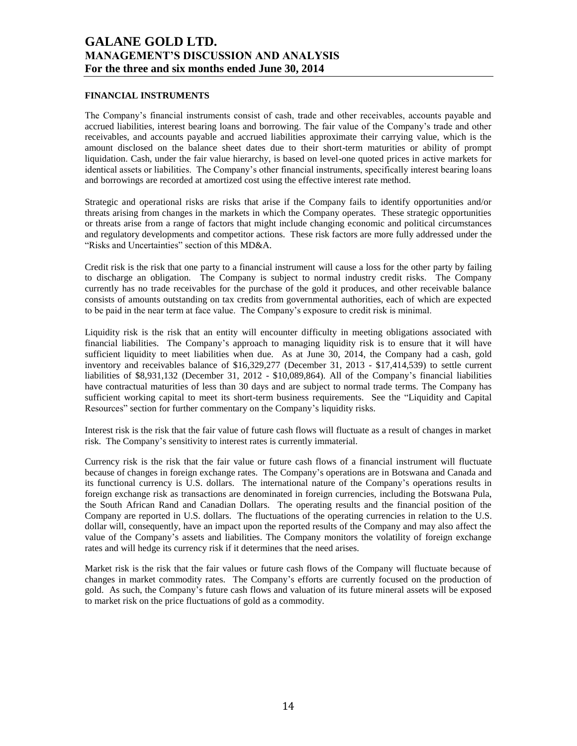## **FINANCIAL INSTRUMENTS**

The Company's financial instruments consist of cash, trade and other receivables, accounts payable and accrued liabilities, interest bearing loans and borrowing. The fair value of the Company's trade and other receivables, and accounts payable and accrued liabilities approximate their carrying value, which is the amount disclosed on the balance sheet dates due to their short-term maturities or ability of prompt liquidation. Cash, under the fair value hierarchy, is based on level-one quoted prices in active markets for identical assets or liabilities. The Company's other financial instruments, specifically interest bearing loans and borrowings are recorded at amortized cost using the effective interest rate method.

Strategic and operational risks are risks that arise if the Company fails to identify opportunities and/or threats arising from changes in the markets in which the Company operates. These strategic opportunities or threats arise from a range of factors that might include changing economic and political circumstances and regulatory developments and competitor actions. These risk factors are more fully addressed under the "Risks and Uncertainties" section of this MD&A.

Credit risk is the risk that one party to a financial instrument will cause a loss for the other party by failing to discharge an obligation. The Company is subject to normal industry credit risks. The Company currently has no trade receivables for the purchase of the gold it produces, and other receivable balance consists of amounts outstanding on tax credits from governmental authorities, each of which are expected to be paid in the near term at face value. The Company's exposure to credit risk is minimal.

Liquidity risk is the risk that an entity will encounter difficulty in meeting obligations associated with financial liabilities. The Company's approach to managing liquidity risk is to ensure that it will have sufficient liquidity to meet liabilities when due. As at June 30, 2014, the Company had a cash, gold inventory and receivables balance of \$16,329,277 (December 31, 2013 - \$17,414,539) to settle current liabilities of \$8,931,132 (December 31, 2012 - \$10,089,864). All of the Company's financial liabilities have contractual maturities of less than 30 days and are subject to normal trade terms. The Company has sufficient working capital to meet its short-term business requirements. See the "Liquidity and Capital Resources" section for further commentary on the Company's liquidity risks.

Interest risk is the risk that the fair value of future cash flows will fluctuate as a result of changes in market risk. The Company's sensitivity to interest rates is currently immaterial.

Currency risk is the risk that the fair value or future cash flows of a financial instrument will fluctuate because of changes in foreign exchange rates. The Company's operations are in Botswana and Canada and its functional currency is U.S. dollars. The international nature of the Company's operations results in foreign exchange risk as transactions are denominated in foreign currencies, including the Botswana Pula, the South African Rand and Canadian Dollars. The operating results and the financial position of the Company are reported in U.S. dollars. The fluctuations of the operating currencies in relation to the U.S. dollar will, consequently, have an impact upon the reported results of the Company and may also affect the value of the Company's assets and liabilities. The Company monitors the volatility of foreign exchange rates and will hedge its currency risk if it determines that the need arises.

Market risk is the risk that the fair values or future cash flows of the Company will fluctuate because of changes in market commodity rates. The Company's efforts are currently focused on the production of gold. As such, the Company's future cash flows and valuation of its future mineral assets will be exposed to market risk on the price fluctuations of gold as a commodity.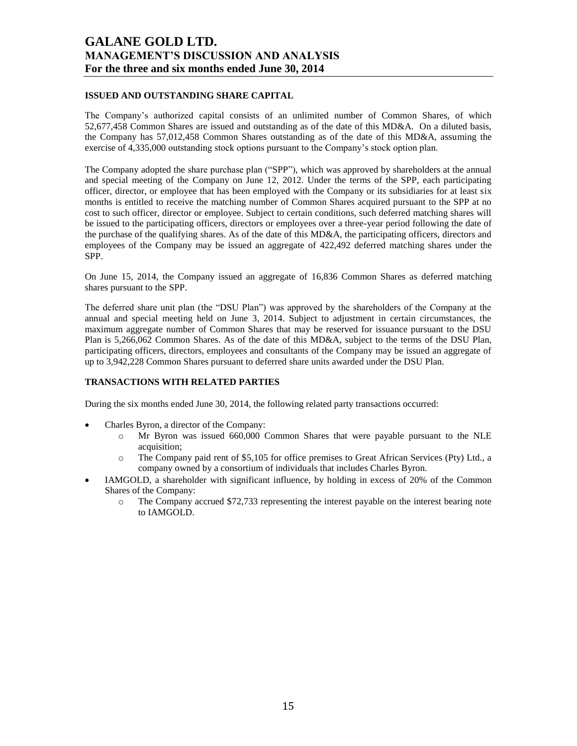## **ISSUED AND OUTSTANDING SHARE CAPITAL**

The Company's authorized capital consists of an unlimited number of Common Shares, of which 52,677,458 Common Shares are issued and outstanding as of the date of this MD&A. On a diluted basis, the Company has 57,012,458 Common Shares outstanding as of the date of this MD&A, assuming the exercise of 4,335,000 outstanding stock options pursuant to the Company's stock option plan.

The Company adopted the share purchase plan ("SPP"), which was approved by shareholders at the annual and special meeting of the Company on June 12, 2012. Under the terms of the SPP, each participating officer, director, or employee that has been employed with the Company or its subsidiaries for at least six months is entitled to receive the matching number of Common Shares acquired pursuant to the SPP at no cost to such officer, director or employee. Subject to certain conditions, such deferred matching shares will be issued to the participating officers, directors or employees over a three-year period following the date of the purchase of the qualifying shares. As of the date of this MD&A, the participating officers, directors and employees of the Company may be issued an aggregate of 422,492 deferred matching shares under the SPP.

On June 15, 2014, the Company issued an aggregate of 16,836 Common Shares as deferred matching shares pursuant to the SPP.

The deferred share unit plan (the "DSU Plan") was approved by the shareholders of the Company at the annual and special meeting held on June 3, 2014. Subject to adjustment in certain circumstances, the maximum aggregate number of Common Shares that may be reserved for issuance pursuant to the DSU Plan is 5,266,062 Common Shares. As of the date of this MD&A, subject to the terms of the DSU Plan, participating officers, directors, employees and consultants of the Company may be issued an aggregate of up to 3,942,228 Common Shares pursuant to deferred share units awarded under the DSU Plan.

# **TRANSACTIONS WITH RELATED PARTIES**

During the six months ended June 30, 2014, the following related party transactions occurred:

- Charles Byron, a director of the Company:
	- o Mr Byron was issued 660,000 Common Shares that were payable pursuant to the NLE acquisition;
	- o The Company paid rent of \$5,105 for office premises to Great African Services (Pty) Ltd., a company owned by a consortium of individuals that includes Charles Byron.
- IAMGOLD, a shareholder with significant influence, by holding in excess of 20% of the Common Shares of the Company:
	- o The Company accrued \$72,733 representing the interest payable on the interest bearing note to IAMGOLD.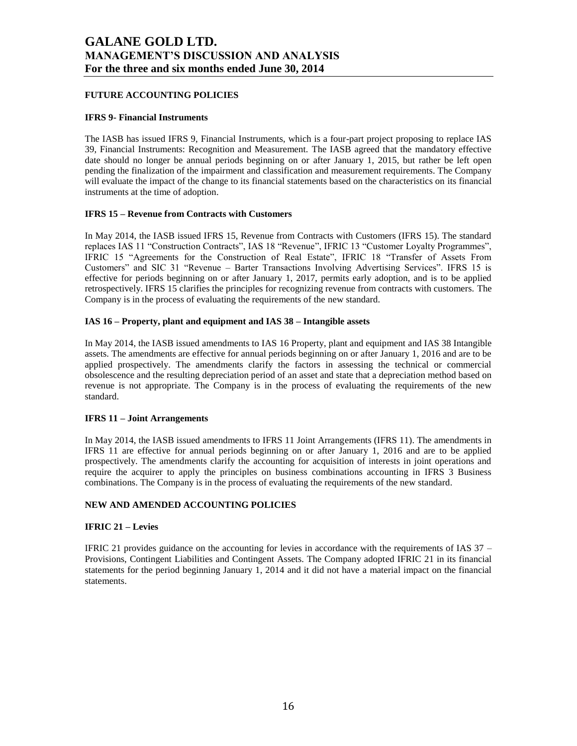## **FUTURE ACCOUNTING POLICIES**

### **IFRS 9- Financial Instruments**

The IASB has issued IFRS 9, Financial Instruments, which is a four-part project proposing to replace IAS 39, Financial Instruments: Recognition and Measurement. The IASB agreed that the mandatory effective date should no longer be annual periods beginning on or after January 1, 2015, but rather be left open pending the finalization of the impairment and classification and measurement requirements. The Company will evaluate the impact of the change to its financial statements based on the characteristics on its financial instruments at the time of adoption.

## **IFRS 15 – Revenue from Contracts with Customers**

In May 2014, the IASB issued IFRS 15, Revenue from Contracts with Customers (IFRS 15). The standard replaces IAS 11 "Construction Contracts", IAS 18 "Revenue", IFRIC 13 "Customer Loyalty Programmes", IFRIC 15 "Agreements for the Construction of Real Estate", IFRIC 18 "Transfer of Assets From Customers" and SIC 31 "Revenue – Barter Transactions Involving Advertising Services". IFRS 15 is effective for periods beginning on or after January 1, 2017, permits early adoption, and is to be applied retrospectively. IFRS 15 clarifies the principles for recognizing revenue from contracts with customers. The Company is in the process of evaluating the requirements of the new standard.

## **IAS 16 – Property, plant and equipment and IAS 38 – Intangible assets**

In May 2014, the IASB issued amendments to IAS 16 Property, plant and equipment and IAS 38 Intangible assets. The amendments are effective for annual periods beginning on or after January 1, 2016 and are to be applied prospectively. The amendments clarify the factors in assessing the technical or commercial obsolescence and the resulting depreciation period of an asset and state that a depreciation method based on revenue is not appropriate. The Company is in the process of evaluating the requirements of the new standard.

### **IFRS 11 – Joint Arrangements**

In May 2014, the IASB issued amendments to IFRS 11 Joint Arrangements (IFRS 11). The amendments in IFRS 11 are effective for annual periods beginning on or after January 1, 2016 and are to be applied prospectively. The amendments clarify the accounting for acquisition of interests in joint operations and require the acquirer to apply the principles on business combinations accounting in IFRS 3 Business combinations. The Company is in the process of evaluating the requirements of the new standard.

# **NEW AND AMENDED ACCOUNTING POLICIES**

### **IFRIC 21 – Levies**

IFRIC 21 provides guidance on the accounting for levies in accordance with the requirements of IAS 37 – Provisions, Contingent Liabilities and Contingent Assets. The Company adopted IFRIC 21 in its financial statements for the period beginning January 1, 2014 and it did not have a material impact on the financial statements.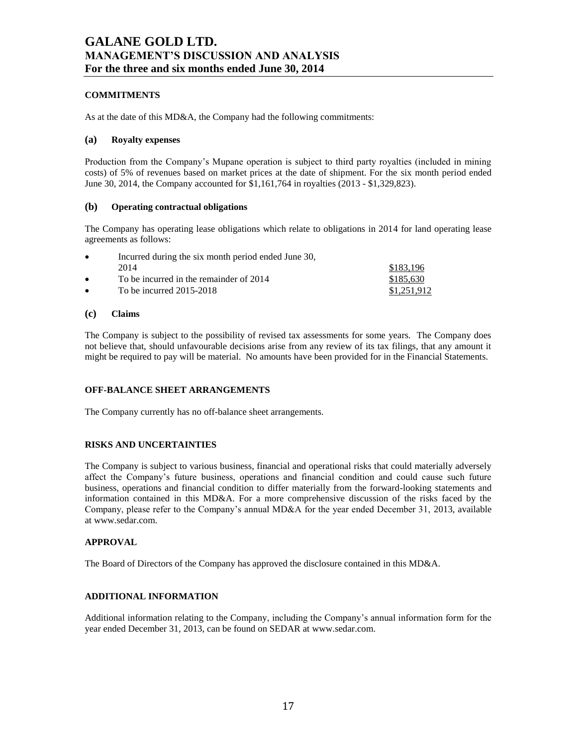# **COMMITMENTS**

As at the date of this MD&A, the Company had the following commitments:

### **(a) Royalty expenses**

Production from the Company's Mupane operation is subject to third party royalties (included in mining costs) of 5% of revenues based on market prices at the date of shipment. For the six month period ended June 30, 2014, the Company accounted for \$1,161,764 in royalties (2013 - \$1,329,823).

## **(b) Operating contractual obligations**

The Company has operating lease obligations which relate to obligations in 2014 for land operating lease agreements as follows:

| $\bullet$ | Incurred during the six month period ended June 30, |             |
|-----------|-----------------------------------------------------|-------------|
|           | 2014                                                | \$183.196   |
| $\bullet$ | To be incurred in the remainder of 2014             | \$185,630   |
| $\bullet$ | To be incurred $2015-2018$                          | \$1,251,912 |

### **(c) Claims**

The Company is subject to the possibility of revised tax assessments for some years. The Company does not believe that, should unfavourable decisions arise from any review of its tax filings, that any amount it might be required to pay will be material. No amounts have been provided for in the Financial Statements.

# **OFF-BALANCE SHEET ARRANGEMENTS**

The Company currently has no off-balance sheet arrangements.

# **RISKS AND UNCERTAINTIES**

The Company is subject to various business, financial and operational risks that could materially adversely affect the Company's future business, operations and financial condition and could cause such future business, operations and financial condition to differ materially from the forward-looking statements and information contained in this MD&A. For a more comprehensive discussion of the risks faced by the Company, please refer to the Company's annual MD&A for the year ended December 31, 2013, available at www.sedar.com.

### **APPROVAL**

The Board of Directors of the Company has approved the disclosure contained in this MD&A.

## **ADDITIONAL INFORMATION**

Additional information relating to the Company, including the Company's annual information form for the year ended December 31, 2013, can be found on SEDAR at www.sedar.com.